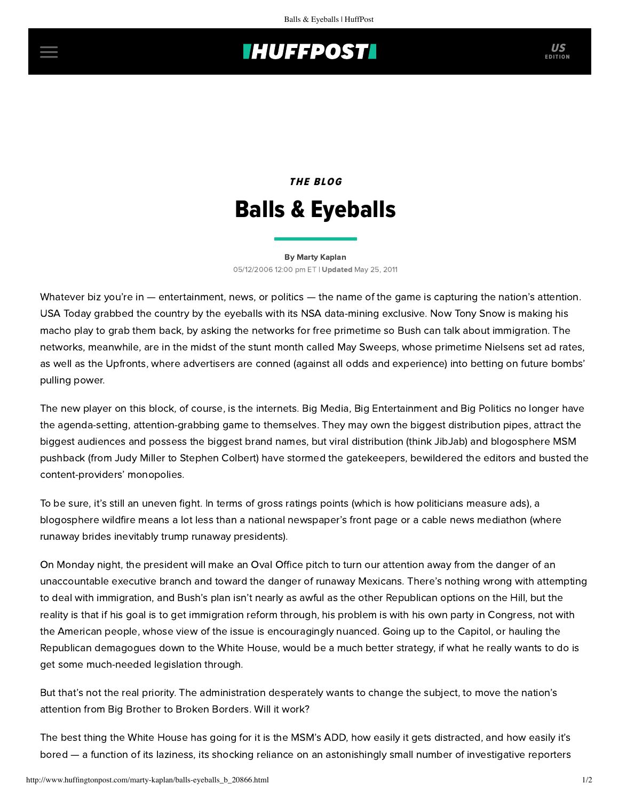## **IHUFFPOSTI** US

## THE BLOG Balls & Eyeballs

[By Marty Kaplan](http://www.huffingtonpost.com/author/marty-kaplan) 05/12/2006 12:00 pm ET | Updated May 25, 2011

Whatever biz you're in — entertainment, news, or politics — the name of the game is capturing the nation's attention. USA Today grabbed the country by the eyeballs with its NSA data-mining exclusive. Now Tony Snow is making his macho play to grab them back, by asking the networks for free primetime so Bush can talk about immigration. The networks, meanwhile, are in the midst of the stunt month called May Sweeps, whose primetime Nielsens set ad rates, as well as the Upfronts, where advertisers are conned (against all odds and experience) into betting on future bombs' pulling power.

The new player on this block, of course, is the internets. Big Media, Big Entertainment and Big Politics no longer have the agenda-setting, attention-grabbing game to themselves. They may own the biggest distribution pipes, attract the biggest audiences and possess the biggest brand names, but viral distribution (think JibJab) and blogosphere MSM pushback (from Judy Miller to Stephen Colbert) have stormed the gatekeepers, bewildered the editors and busted the content-providers' monopolies.

To be sure, it's still an uneven fight. In terms of gross ratings points (which is how politicians measure ads), a blogosphere wildfire means a lot less than a national newspaper's front page or a cable news mediathon (where runaway brides inevitably trump runaway presidents).

On Monday night, the president will make an Oval Office pitch to turn our attention away from the danger of an unaccountable executive branch and toward the danger of runaway Mexicans. There's nothing wrong with attempting to deal with immigration, and Bush's plan isn't nearly as awful as the other Republican options on the Hill, but the reality is that if his goal is to get immigration reform through, his problem is with his own party in Congress, not with the American people, whose view of the issue is encouragingly nuanced. Going up to the Capitol, or hauling the Republican demagogues down to the White House, would be a much better strategy, if what he really wants to do is get some much-needed legislation through.

But that's not the real priority. The administration desperately wants to change the subject, to move the nation's attention from Big Brother to Broken Borders. Will it work?

The best thing the White House has going for it is the MSM's ADD, how easily it gets distracted, and how easily it's bored — a function of its laziness, its shocking reliance on an astonishingly small number of investigative reporters